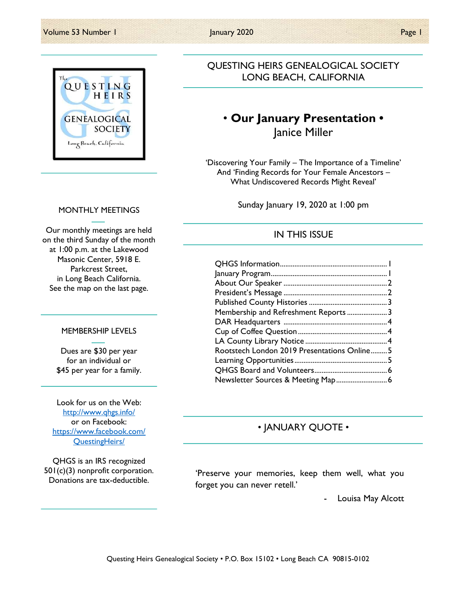

### QUESTING HEIRS GENEALOGICAL SOCIETY LONG BEACH, CALIFORNIA

### • Our January Presentation • Janice Miller

'Discovering Your Family – The Importance of a Timeline' And 'Finding Records for Your Female Ancestors – What Undiscovered Records Might Reveal'

Sunday January 19, 2020 at 1:00 pm

### IN THIS ISSUE

| Membership and Refreshment Reports3         |  |
|---------------------------------------------|--|
|                                             |  |
|                                             |  |
|                                             |  |
| Rootstech London 2019 Presentations Online5 |  |
|                                             |  |
|                                             |  |
|                                             |  |

### • JANUARY QUOTE •

'Preserve your memories, keep them well, what you forget you can never retell.'

Louisa May Alcott

#### MONTHLY MEETINGS

Our monthly meetings are held on the third Sunday of the month at 1:00 p.m. at the Lakewood Masonic Center, 5918 E. Parkcrest Street, in Long Beach California. See the map on the last page.

#### MEMBERSHIP LEVELS

Dues are \$30 per year for an individual or \$45 per year for a family.

Look for us on the Web: http://www.qhgs.info/ or on Facebook: https://www.facebook.com/ QuestingHeirs/

QHGS is an IRS recognized 501(c)(3) nonprofit corporation. Donations are tax-deductible.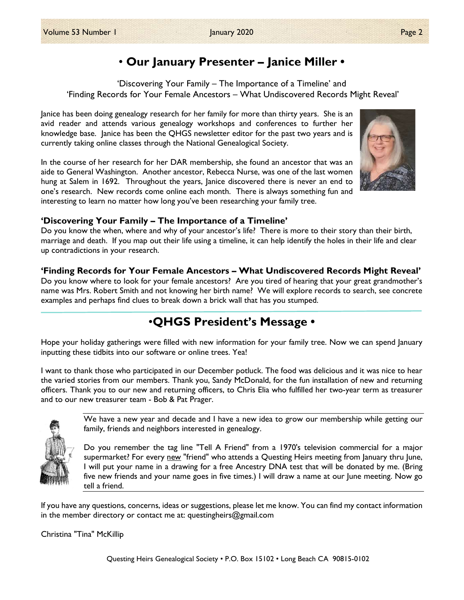## • Our January Presenter – Janice Miller •

'Discovering Your Family – The Importance of a Timeline' and 'Finding Records for Your Female Ancestors – What Undiscovered Records Might Reveal'

Janice has been doing genealogy research for her family for more than thirty years. She is an avid reader and attends various genealogy workshops and conferences to further her knowledge base. Janice has been the QHGS newsletter editor for the past two years and is currently taking online classes through the National Genealogical Society.

In the course of her research for her DAR membership, she found an ancestor that was an aide to General Washington. Another ancestor, Rebecca Nurse, was one of the last women hung at Salem in 1692. Throughout the years, Janice discovered there is never an end to one's research. New records come online each month. There is always something fun and interesting to learn no matter how long you've been researching your family tree.

### 'Discovering Your Family – The Importance of a Timeline'

Do you know the when, where and why of your ancestor's life? There is more to their story than their birth, marriage and death. If you map out their life using a timeline, it can help identify the holes in their life and clear up contradictions in your research.

### 'Finding Records for Your Female Ancestors – What Undiscovered Records Might Reveal'

Do you know where to look for your female ancestors? Are you tired of hearing that your great grandmother's name was Mrs. Robert Smith and not knowing her birth name? We will explore records to search, see concrete examples and perhaps find clues to break down a brick wall that has you stumped.

# •QHGS President's Message •

Hope your holiday gatherings were filled with new information for your family tree. Now we can spend January inputting these tidbits into our software or online trees. Yea!

I want to thank those who participated in our December potluck. The food was delicious and it was nice to hear the varied stories from our members. Thank you, Sandy McDonald, for the fun installation of new and returning officers. Thank you to our new and returning officers, to Chris Elia who fulfilled her two-year term as treasurer and to our new treasurer team - Bob & Pat Prager.

> We have a new year and decade and I have a new idea to grow our membership while getting our family, friends and neighbors interested in genealogy.

> Do you remember the tag line "Tell A Friend" from a 1970's television commercial for a major supermarket? For every new "friend" who attends a Questing Heirs meeting from January thru June, I will put your name in a drawing for a free Ancestry DNA test that will be donated by me. (Bring five new friends and your name goes in five times.) I will draw a name at our June meeting. Now go tell a friend.

If you have any questions, concerns, ideas or suggestions, please let me know. You can find my contact information in the member directory or contact me at: questingheirs@gmail.com

Christina "Tina" McKillip



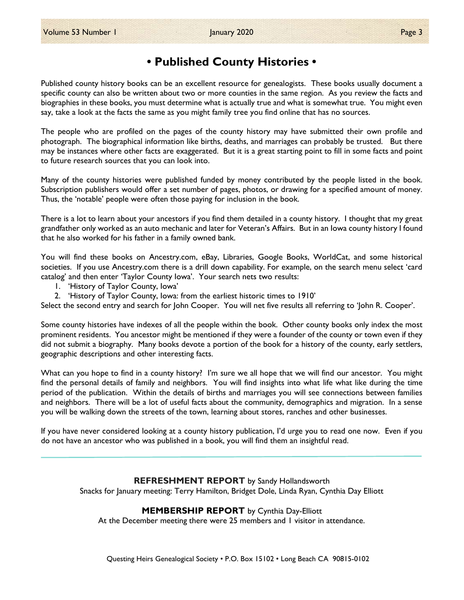### • Published County Histories •

Published county history books can be an excellent resource for genealogists. These books usually document a specific county can also be written about two or more counties in the same region. As you review the facts and biographies in these books, you must determine what is actually true and what is somewhat true. You might even say, take a look at the facts the same as you might family tree you find online that has no sources.

The people who are profiled on the pages of the county history may have submitted their own profile and photograph. The biographical information like births, deaths, and marriages can probably be trusted. But there may be instances where other facts are exaggerated. But it is a great starting point to fill in some facts and point to future research sources that you can look into.

Many of the county histories were published funded by money contributed by the people listed in the book. Subscription publishers would offer a set number of pages, photos, or drawing for a specified amount of money. Thus, the 'notable' people were often those paying for inclusion in the book.

There is a lot to learn about your ancestors if you find them detailed in a county history. I thought that my great grandfather only worked as an auto mechanic and later for Veteran's Affairs. But in an Iowa county history I found that he also worked for his father in a family owned bank.

You will find these books on Ancestry.com, eBay, Libraries, Google Books, WorldCat, and some historical societies. If you use Ancestry.com there is a drill down capability. For example, on the search menu select 'card catalog' and then enter 'Taylor County Iowa'. Your search nets two results:

- 1. 'History of Taylor County, Iowa'
- 2. 'History of Taylor County, Iowa: from the earliest historic times to 1910'

Select the second entry and search for John Cooper. You will net five results all referring to 'John R. Cooper'.

Some county histories have indexes of all the people within the book. Other county books only index the most prominent residents. You ancestor might be mentioned if they were a founder of the county or town even if they did not submit a biography. Many books devote a portion of the book for a history of the county, early settlers, geographic descriptions and other interesting facts.

What can you hope to find in a county history? I'm sure we all hope that we will find our ancestor. You might find the personal details of family and neighbors. You will find insights into what life what like during the time period of the publication. Within the details of births and marriages you will see connections between families and neighbors. There will be a lot of useful facts about the community, demographics and migration. In a sense you will be walking down the streets of the town, learning about stores, ranches and other businesses.

If you have never considered looking at a county history publication, I'd urge you to read one now. Even if you do not have an ancestor who was published in a book, you will find them an insightful read.

> REFRESHMENT REPORT by Sandy Hollandsworth Snacks for January meeting: Terry Hamilton, Bridget Dole, Linda Ryan, Cynthia Day Elliott

#### MEMBERSHIP REPORT by Cynthia Day-Elliott

At the December meeting there were 25 members and 1 visitor in attendance.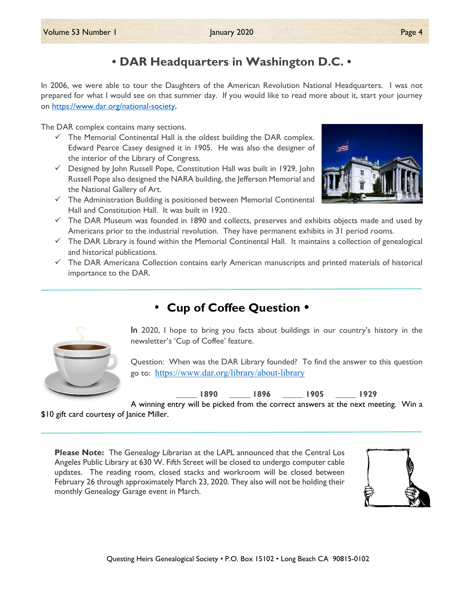## • DAR Headquarters in Washington D.C. •

In 2006, we were able to tour the Daughters of the American Revolution National Headquarters. I was not prepared for what I would see on that summer day. If you would like to read more about it, start your journey on https://www.dar.org/national-society.

The DAR complex contains many sections.

- $\checkmark$  The Memorial Continental Hall is the oldest building the DAR complex. Edward Pearce Casey designed it in 1905. He was also the designer of the interior of the Library of Congress.
- $\checkmark$  Designed by John Russell Pope, Constitution Hall was built in 1929. John Russell Pope also designed the NARA building, the Jefferson Memorial and the National Gallery of Art.
- $\checkmark$  The Administration Building is positioned between Memorial Continental Hall and Constitution Hall. It was built in 1920.
- $\checkmark$  The DAR Museum was founded in 1890 and collects, preserves and exhibits objects made and used by Americans prior to the industrial revolution. They have permanent exhibits in 31 period rooms.
- $\checkmark$  The DAR Library is found within the Memorial Continental Hall. It maintains a collection of genealogical and historical publications.
- $\checkmark$  The DAR Americana Collection contains early American manuscripts and printed materials of historical importance to the DAR.

## • Cup of Coffee Question •



In 2020, I hope to bring you facts about buildings in our country's history in the newsletter's 'Cup of Coffee' feature.

Question: When was the DAR Library founded? To find the answer to this question go to: https://www.dar.org/library/about-library

\_\_\_\_\_ 1890 \_\_\_\_\_ 1896 \_\_\_\_\_ 1905 \_\_\_\_\_ 1929

A winning entry will be picked from the correct answers at the next meeting. Win a

\$10 gift card courtesy of Janice Miller.

Please Note: The Genealogy Librarian at the LAPL announced that the Central Los Angeles Public Library at 630 W. Fifth Street will be closed to undergo computer cable updates. The reading room, closed stacks and workroom will be closed between February 26 through approximately March 23, 2020. They also will not be holding their monthly Genealogy Garage event in March.



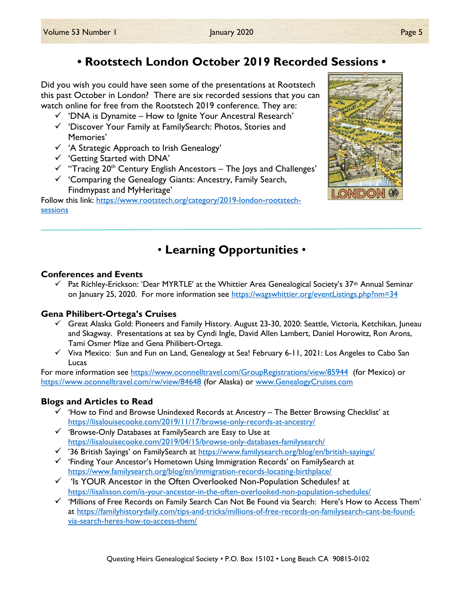# • Rootstech London October 2019 Recorded Sessions •

Did you wish you could have seen some of the presentations at Rootstech this past October in London? There are six recorded sessions that you can watch online for free from the Rootstech 2019 conference. They are:

- $\checkmark$  'DNA is Dynamite How to Ignite Your Ancestral Research'
- 'Discover Your Family at FamilySearch: Photos, Stories and Memories'
- $\checkmark$  'A Strategic Approach to Irish Genealogy'
- 'Getting Started with DNA'
- $\checkmark$  "Tracing 20<sup>th</sup> Century English Ancestors The Joys and Challenges'
- $\checkmark$  'Comparing the Genealogy Giants: Ancestry, Family Search, Findmypast and MyHeritage'

Follow this link: https://www.rootstech.org/category/2019-london-rootstechsessions



# • Learning Opportunities •

#### Conferences and Events

 $\checkmark$  Pat Richley-Erickson: 'Dear MYRTLE' at the Whittier Area Genealogical Society's 37<sup>th</sup> Annual Seminar on January 25, 2020. For more information see https://wagswhittier.org/eventListings.php?nm=34

### Gena Philibert-Ortega's Cruises

- $\checkmark$  Great Alaska Gold: Pioneers and Family History. August 23-30, 2020: Seattle, Victoria, Ketchikan, Juneau and Skagway. Presentations at sea by Cyndi Ingle, David Allen Lambert, Daniel Horowitz, Ron Arons, Tami Osmer Mize and Gena Philibert-Ortega.
- $\checkmark$  Viva Mexico: Sun and Fun on Land, Genealogy at Sea! February 6-11, 2021: Los Angeles to Cabo San Lucas

For more information see https://www.oconnelltravel.com/GroupRegistrations/view/85944 (for Mexico) or https://www.oconnelltravel.com/rw/view/84648 (for Alaska) or www.GenealogyCruises.com

### Blogs and Articles to Read

- $\checkmark$  'How to Find and Browse Unindexed Records at Ancestry The Better Browsing Checklist' at https://lisalouisecooke.com/2019/11/17/browse-only-records-at-ancestry/
- $\checkmark$  'Browse-Only Databases at FamilySearch are Easy to Use at https://lisalouisecooke.com/2019/04/15/browse-only-databases-familysearch/
- <sup>1</sup> '36 British Sayings' on FamilySearch at https://www.familysearch.org/blog/en/british-sayings/
- 'Finding Your Ancestor's Hometown Using Immigration Records' on FamilySearch at https://www.familysearch.org/blog/en/immigration-records-locating-birthplace/
- $\checkmark$  'Is YOUR Ancestor in the Often Overlooked Non-Population Schedules? at https://lisalisson.com/is-your-ancestor-in-the-often-overlooked-non-population-schedules/
- $\checkmark$  'Millions of Free Records on Family Search Can Not Be Found via Search: Here's How to Access Them' at https://familyhistorydaily.com/tips-and-tricks/millions-of-free-records-on-familysearch-cant-be-foundvia-search-heres-how-to-access-them/